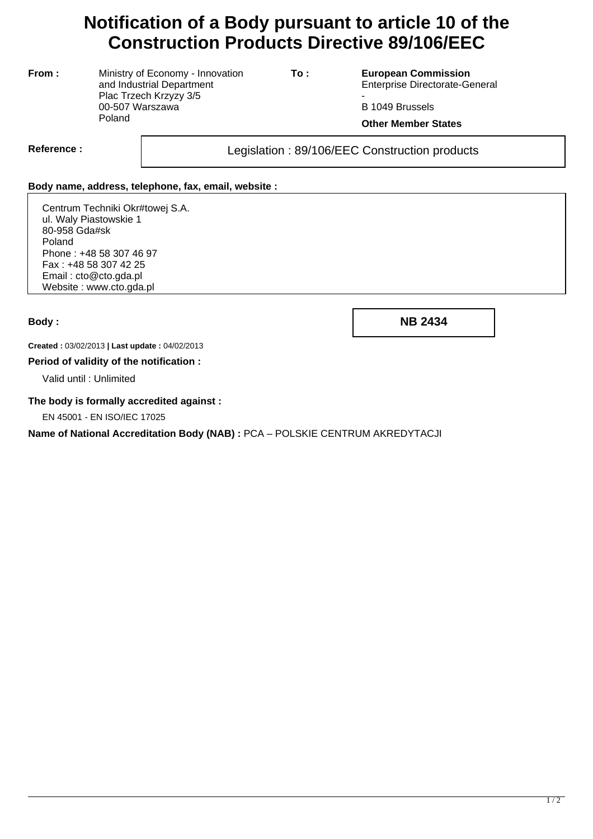# **Notification of a Body pursuant to article 10 of the Construction Products Directive 89/106/EEC**

**From :** Ministry of Economy - Innovation and Industrial Department Plac Trzech Krzyzy 3/5 00-507 Warszawa Poland

**To : European Commission** Enterprise Directorate-General

- B 1049 Brussels

**Other Member States**

Reference : and all all the construction in Legislation : 89/106/EEC Construction products

## **Body name, address, telephone, fax, email, website :**

Centrum Techniki Okr#towej S.A. ul. Waly Piastowskie 1 80-958 Gda#sk Poland Phone : +48 58 307 46 97 Fax : +48 58 307 42 25 Email : cto@cto.gda.pl Website : www.cto.gda.pl

**Body : NB 2434**

**Created :** 03/02/2013 **| Last update :** 04/02/2013

#### **Period of validity of the notification :**

Valid until : Unlimited

## **The body is formally accredited against :**

EN 45001 - EN ISO/IEC 17025

**Name of National Accreditation Body (NAB) :** PCA – POLSKIE CENTRUM AKREDYTACJI